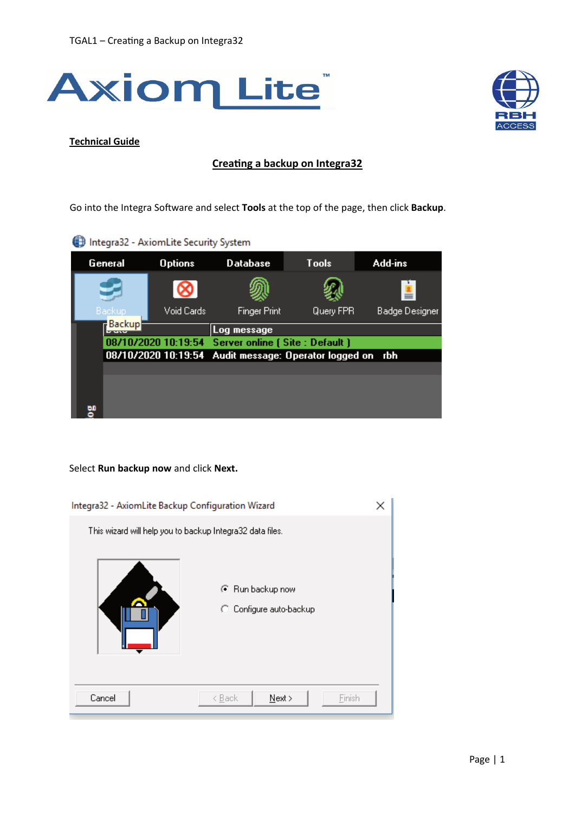



## **Technical Guide**

## **Creating a backup on Integra32**

Go into the Integra Software and select Tools at the top of the page, then click Backup.

| Integra32 - AxiomLite Security System |  |  |
|---------------------------------------|--|--|
|                                       |  |  |

| General |                                                           | <b>Options</b> | <b>Database</b>                                      | <b>Tools</b> | Add-ins        |
|---------|-----------------------------------------------------------|----------------|------------------------------------------------------|--------------|----------------|
|         |                                                           |                |                                                      |              |                |
| Backup  |                                                           | Void Cards     | Finger Print                                         | Query FPR    | Badge Designer |
|         | <b>Backup</b><br>787557                                   |                | Log message                                          |              |                |
|         |                                                           |                | 08/10/2020 10:19:54 Server online [ Site : Default ] |              |                |
|         | 08/10/2020 10:19:54 Audit message: Operator logged on rbh |                |                                                      |              |                |
|         |                                                           |                |                                                      |              |                |
|         |                                                           |                |                                                      |              |                |
|         |                                                           |                |                                                      |              |                |
| 60      |                                                           |                |                                                      |              |                |

## Select **Run backup now** and click **Next.**

| Integra32 - AxiomLite Backup Configuration Wizard         |                                             |  |  |
|-----------------------------------------------------------|---------------------------------------------|--|--|
| This wizard will help you to backup Integra32 data files. |                                             |  |  |
|                                                           | ⊙ Run backup now<br>C Configure auto-backup |  |  |
| Cancel                                                    | Einish<br>$N$ ext ><br>< <u>B</u> ack       |  |  |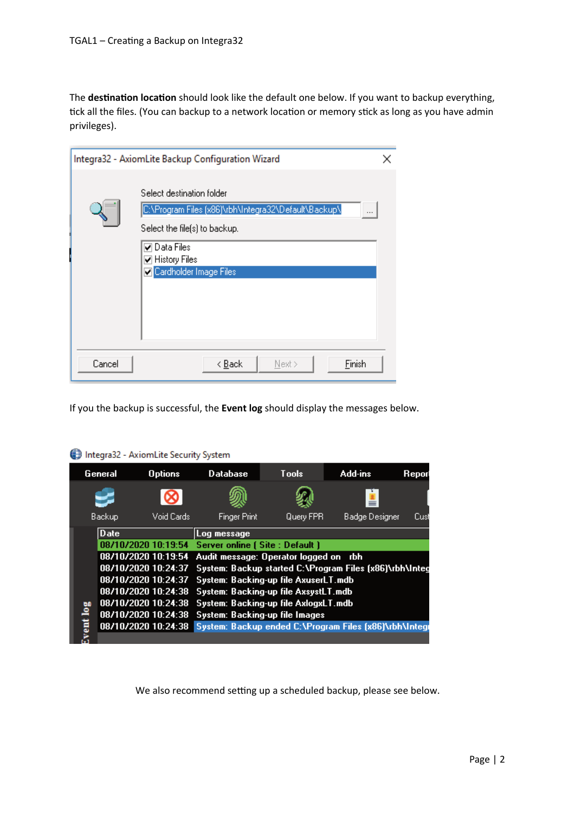The destination location should look like the default one below. If you want to backup everything, tick all the files. (You can backup to a network location or memory stick as long as you have admin privileges).

|        | Integra32 - AxiomLite Backup Configuration Wizard                                                                                                                                                 | × |
|--------|---------------------------------------------------------------------------------------------------------------------------------------------------------------------------------------------------|---|
|        | Select destination folder<br>C:\Program Files (x86)\rbh\Integra32\Default\Backup\<br><br>Select the file(s) to backup.<br><b>▽</b> Data Files<br><b>Ø</b> History Files<br>Cardholder Image Files |   |
| Cancel | Finish<br>< <u>B</u> ack<br>Next >                                                                                                                                                                |   |

If you the backup is successful, the **Event log** should display the messages below.

|      | General             | <b>Options</b>      | <b>Database</b>                       | <b>Tools</b> | Add-ins                                                | Repor |
|------|---------------------|---------------------|---------------------------------------|--------------|--------------------------------------------------------|-------|
|      |                     |                     |                                       |              |                                                        |       |
|      | Backup              | Void Cards          | <b>Finger Print</b>                   | Query FPR    | Badge Designer                                         | Cus   |
|      | Date                |                     | Log message                           |              |                                                        |       |
|      |                     | 08/10/2020 10:19:54 | Server online (Site : Default)        |              |                                                        |       |
|      | 08/10/2020 10:19:54 |                     | Audit message: Operator logged on rbh |              |                                                        |       |
|      | 08/10/2020 10:24:37 |                     |                                       |              | System: Backup started C:\Program Files (x86)\rbh\Inte |       |
|      | 08/10/2020 10:24:37 |                     | System: Backing-up file AxuserLT.mdb  |              |                                                        |       |
|      | 08/10/2020 10:24:38 |                     | System: Backing-up file AxsystLT.mdb  |              |                                                        |       |
|      | 08/10/2020 10:24:38 |                     | System: Backing-up file AxlogxLT.mdb  |              |                                                        |       |
| log  | 08/10/2020 10:24:38 |                     | System: Backing-up file Images        |              |                                                        |       |
| ent. | 08/10/2020 10:24:38 |                     |                                       |              | System: Backup ended C:\Program Files (x86)\rbh\Integ  |       |
|      |                     |                     |                                       |              |                                                        |       |

Integra32 - AxiomLite Security System

We also recommend setting up a scheduled backup, please see below.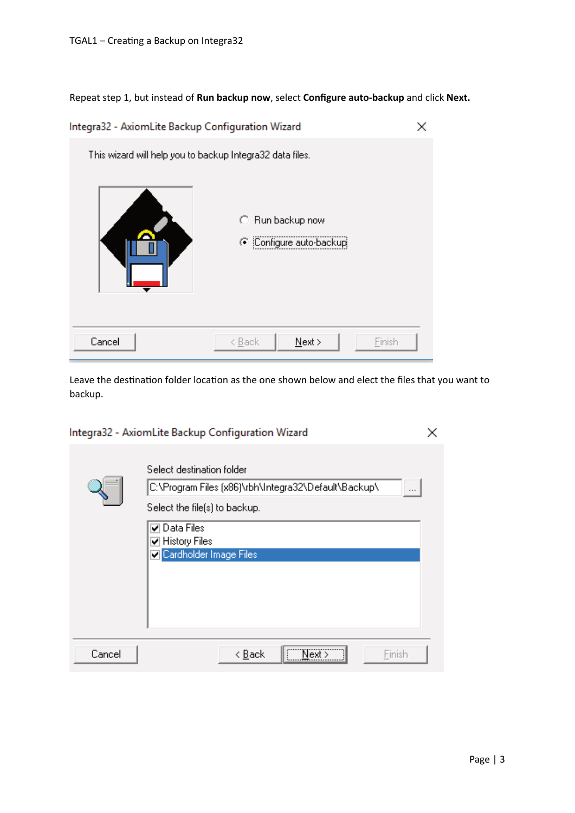Repeat step 1, but instead of **Run backup now**, select **Configure auto-backup** and click **Next.**



Leave the destination folder location as the one shown below and elect the files that you want to backup.

|                                                                                                                     | Integra32 - AxiomLite Backup Configuration Wizard                       |  |  |
|---------------------------------------------------------------------------------------------------------------------|-------------------------------------------------------------------------|--|--|
| Select destination folder<br> C:\Program Files (x86)\rbh\Integra32\Default\Backup\<br>Select the file(s) to backup. |                                                                         |  |  |
|                                                                                                                     | <b>▽</b> Data Files<br><b>☑</b> History Files<br>Cardholder Image Files |  |  |
| Cancel                                                                                                              | Next ><br>< <u>B</u> ack<br>Finish                                      |  |  |